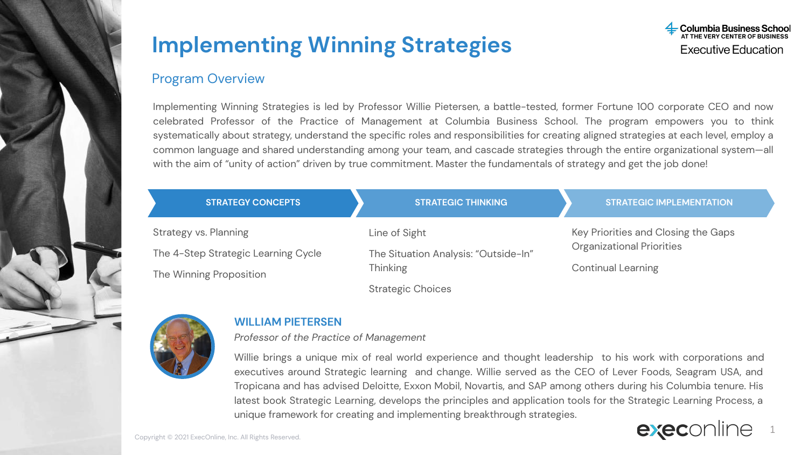

### Program Overview

Implementing Winning Strategies is led by Professor Willie Pietersen, a battle-tested, former Fortune 100 corporate CEO and now celebrated Professor of the Practice of Management at Columbia Business School. The program empowers you to think systematically about strategy, understand the specific roles and responsibilities for creating aligned strategies at each level, employ a common language and shared understanding among your team, and cascade strategies through the entire organizational system—all with the aim of "unity of action" driven by true commitment. Master the fundamentals of strategy and get the job done!

| <b>STRATEGY CONCEPTS</b>            | <b>STRATEGIC THINKING</b>            | <b>STRATEGIC IMPLEMENTATION</b>                                                        |  |
|-------------------------------------|--------------------------------------|----------------------------------------------------------------------------------------|--|
| Strategy vs. Planning               | Line of Sight                        | Key Priorities and Closing the Gaps<br>Organizational Priorities<br>Continual Learning |  |
| The 4-Step Strategic Learning Cycle | The Situation Analysis: "Outside-In" |                                                                                        |  |
| The Winning Proposition             | <b>Thinking</b>                      |                                                                                        |  |
|                                     | Strategic Choices                    |                                                                                        |  |



### **WILLIAM PIETERSEN**

*Professor of the Practice of Management*

Willie brings a unique mix of real world experience and thought leadership to his work with corporations and executives around Strategic learning and change. Willie served as the CEO of Lever Foods, Seagram USA, and Tropicana and has advised Deloitte, Exxon Mobil, Novartis, and SAP among others during his Columbia tenure. His latest book Strategic Learning, develops the principles and application tools for the Strategic Learning Process, a unique framework for creating and implementing breakthrough strategies.

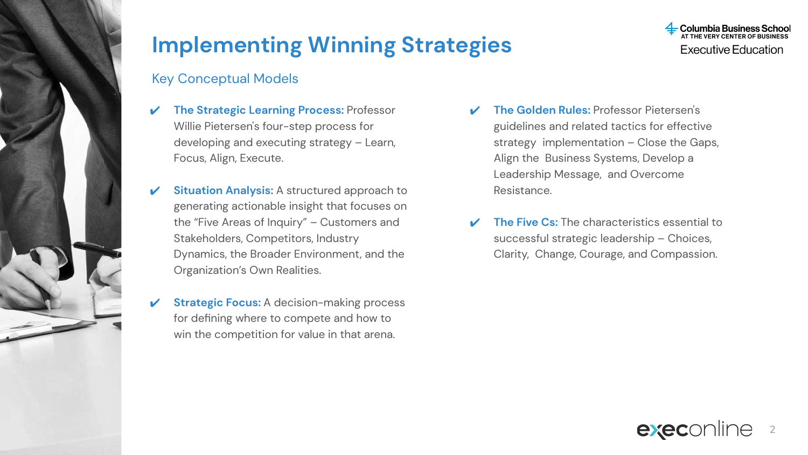

## Key Conceptual Models

- ✔ **The Strategic Learning Process:** Professor Willie Pietersen's four-step process for developing and executing strategy – Learn, Focus, Align, Execute.
- **Situation Analysis:** A structured approach to generating actionable insight that focuses on the "Five Areas of Inquiry" – Customers and Stakeholders, Competitors, Industry Dynamics, the Broader Environment, and the Organization's Own Realities.
- **Strategic Focus:** A decision-making process for defining where to compete and how to win the competition for value in that arena.
- ✔ **The Golden Rules:** Professor Pietersen's guidelines and related tactics for effective strategy implementation – Close the Gaps, Align the Business Systems, Develop a Leadership Message, and Overcome Resistance.
- **The Five Cs:** The characteristics essential to successful strategic leadership – Choices, Clarity, Change, Courage, and Compassion.



**Columbia Business**<br>AT THE VERY CENTER OF B **Executive Education**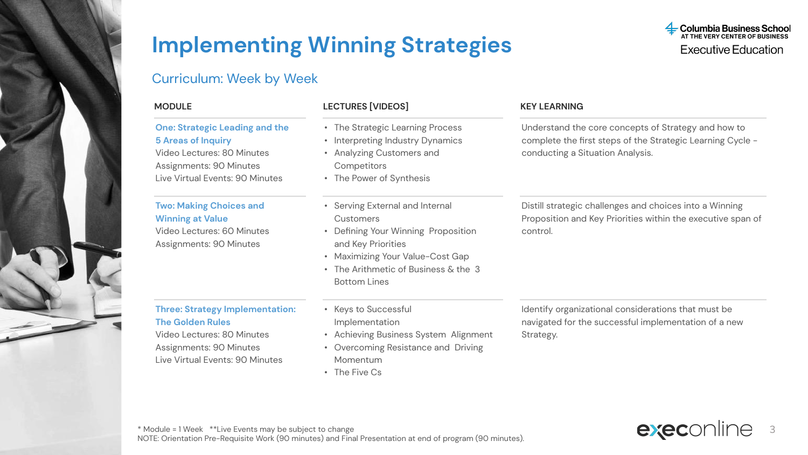### Curriculum: Week by Week

#### **One: Strategic Leading and the 5 Areas of Inquiry**

Video Lectures: 80 Minutes Assignments: 90 Minutes Live Virtual Events: 90 Minutes

#### **Two: Making Choices and Winning at Value**

Video Lectures: 60 Minutes Assignments: 90 Minutes

#### **Three: Strategy Implementation: The Golden Rules**

Video Lectures: 80 Minutes Assignments: 90 Minutes Live Virtual Events: 90 Minutes • Keys to Successful Implementation

Bottom Lines

and Key Priorities

**Competitors** • The Power of Synthesis

Customers

- Achieving Business System Alignment
- Overcoming Resistance and Driving Momentum

• The Strategic Learning Process • Interpreting Industry Dynamics • Analyzing Customers and

• Serving External and Internal

• Defining Your Winning Proposition

• Maximizing Your Value-Cost Gap • The Arithmetic of Business  $&$  the 3

• The Five Cs

#### Identify organizational considerations that must be navigated for the successful implementation of a new Strategy.



#### **MODULE LECTURES [VIDEOS] KEY LEARNING**

Understand the core concepts of Strategy and how to complete the first steps of the Strategic Learning Cycle conducting a Situation Analysis.

Distill strategic challenges and choices into a Winning Proposition and Key Priorities within the executive span of control.

**Columbia Business School**<br>AT THE VERY CENTER OF BUSINESS **Executive Education**